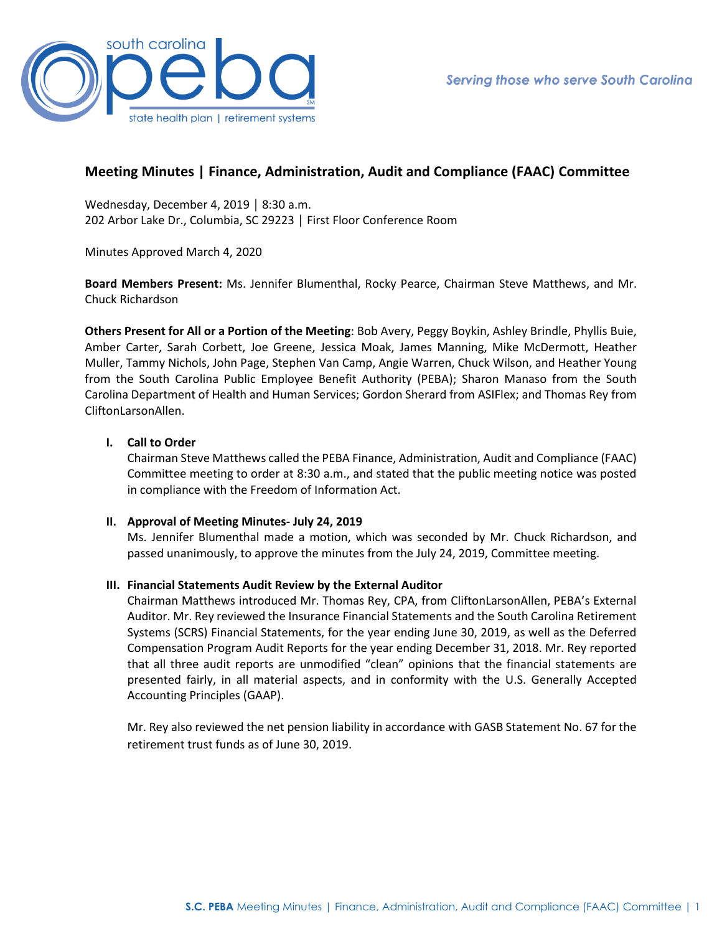

# **Meeting Minutes | Finance, Administration, Audit and Compliance (FAAC) Committee**

Wednesday, December 4, 2019 │ 8:30 a.m. 202 Arbor Lake Dr., Columbia, SC 29223 │ First Floor Conference Room

Minutes Approved March 4, 2020

**Board Members Present:** Ms. Jennifer Blumenthal, Rocky Pearce, Chairman Steve Matthews, and Mr. Chuck Richardson

**Others Present for All or a Portion of the Meeting**: Bob Avery, Peggy Boykin, Ashley Brindle, Phyllis Buie, Amber Carter, Sarah Corbett, Joe Greene, Jessica Moak, James Manning, Mike McDermott, Heather Muller, Tammy Nichols, John Page, Stephen Van Camp, Angie Warren, Chuck Wilson, and Heather Young from the South Carolina Public Employee Benefit Authority (PEBA); Sharon Manaso from the South Carolina Department of Health and Human Services; Gordon Sherard from ASIFlex; and Thomas Rey from CliftonLarsonAllen.

### **I. Call to Order**

Chairman Steve Matthews called the PEBA Finance, Administration, Audit and Compliance (FAAC) Committee meeting to order at 8:30 a.m., and stated that the public meeting notice was posted in compliance with the Freedom of Information Act.

#### **II. Approval of Meeting Minutes- July 24, 2019**

Ms. Jennifer Blumenthal made a motion, which was seconded by Mr. Chuck Richardson, and passed unanimously, to approve the minutes from the July 24, 2019, Committee meeting.

### **III. Financial Statements Audit Review by the External Auditor**

Chairman Matthews introduced Mr. Thomas Rey, CPA, from CliftonLarsonAllen, PEBA's External Auditor. Mr. Rey reviewed the Insurance Financial Statements and the South Carolina Retirement Systems (SCRS) Financial Statements, for the year ending June 30, 2019, as well as the Deferred Compensation Program Audit Reports for the year ending December 31, 2018. Mr. Rey reported that all three audit reports are unmodified "clean" opinions that the financial statements are presented fairly, in all material aspects, and in conformity with the U.S. Generally Accepted Accounting Principles (GAAP).

Mr. Rey also reviewed the net pension liability in accordance with GASB Statement No. 67 for the retirement trust funds as of June 30, 2019.